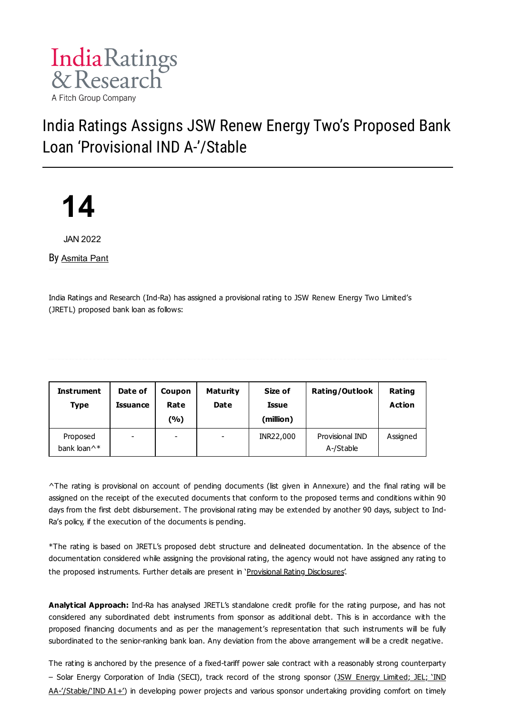

# India Ratings Assigns JSW Renew Energy Two's Proposed Bank Loan 'Provisional IND A-'/Stable



JAN 2022

By [Asmita](https://www.indiaratings.co.in/Analyst?analystID=338&analystName=Asmita%20Pant) Pant

India Ratings and Research (Ind-Ra) has assigned a provisional rating to JSW Renew Energy Two Limited's (JRETL) proposed bank loan as follows:

| <b>Instrument</b><br><b>Type</b>    | Date of<br><b>Issuance</b> | Coupon<br>Rate<br>(%)    | Maturity<br><b>Date</b> | Size of<br><b>Issue</b><br>(million) | <b>Rating/Outlook</b>        | Rating<br>Action |
|-------------------------------------|----------------------------|--------------------------|-------------------------|--------------------------------------|------------------------------|------------------|
| Proposed<br>bank loan <sup>^*</sup> | $\overline{\phantom{a}}$   | $\overline{\phantom{0}}$ | ٠                       | INR22,000                            | Provisional IND<br>A-/Stable | Assigned         |

^The rating is provisional on account of pending documents (list given in Annexure) and the final rating will be assigned on the receipt of the executed documents that conform to the proposed terms and conditions within 90 days from the first debt disbursement. The provisional rating may be extended by another 90 days, subject to Ind-Ra's policy, if the execution of the documents is pending.

\*The rating is based on JRETL's proposed debt structure and delineated documentation. In the absence of the documentation considered while assigning the provisional rating, the agency would not have assigned any rating to the proposed instruments. Further details are present in 'Provisional Rating [Disclosures'](https://www.indiaratings.co.in/Uploads/CriteriaReport/Policy%20on%20Provisional%20Ratings.pdf).

**Analytical Approach:** Ind-Ra has analysed JRETL's standalone credit profile for the rating purpose, and has not considered any subordinated debt instruments from sponsor as additional debt. This is in accordance with the proposed financing documents and as per the management's representation that such instruments will be fully subordinated to the senior-ranking bank loan. Any deviation from the above arrangement will be a credit negative.

The rating is anchored by the presence of a fixed-tariff power sale contract with a reasonably strong counterparty – Solar Energy Corporation of India (SECI), track record of the strong sponsor (JSW Energy Limited; JEL; 'IND [AA-'/Stable/'IND](https://www.indiaratings.co.in/PressRelease?pressReleaseID=53794) A1+') in developing power projects and various sponsor undertaking providing comfort on timely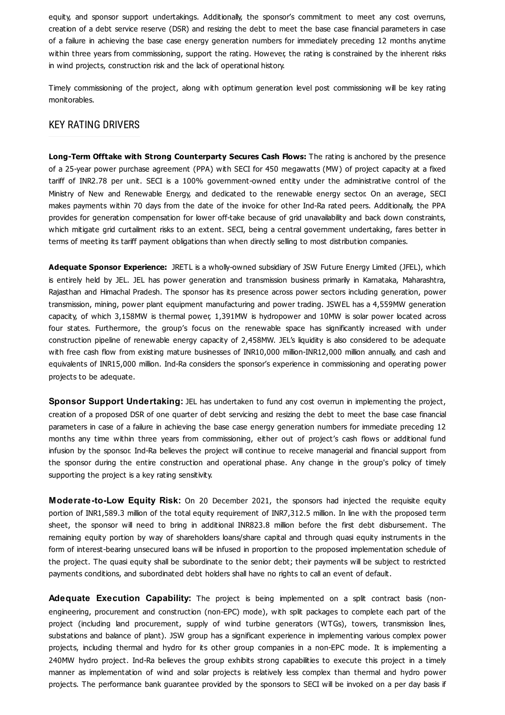equity, and sponsor support undertakings. Additionally, the sponsor's commitment to meet any cost overruns, creation of a debt service reserve (DSR) and resizing the debt to meet the base case financial parameters in case of a failure in achieving the base case energy generation numbers for immediately preceding 12 months anytime within three years from commissioning, support the rating. However, the rating is constrained by the inherent risks in wind projects, construction risk and the lack of operational history.

Timely commissioning of the project, along with optimum generation level post commissioning will be key rating monitorables.

#### KEY RATING DRIVERS

**Long-Term Offtake with Strong Counterparty Secures Cash Flows:** The rating is anchored by the presence of a 25-year power purchase agreement (PPA) with SECI for 450 megawatts (MW) of project capacity at a fixed tariff of INR2.78 per unit. SECI is a 100% government-owned entity under the administrative control of the Ministry of New and Renewable Energy, and dedicated to the renewable energy sector. On an average, SECI makes payments within 70 days from the date of the invoice for other Ind-Ra rated peers. Additionally, the PPA provides for generation compensation for lower off-take because of grid unavailability and back down constraints, which mitigate grid curtailment risks to an extent. SECI, being a central government undertaking, fares better in terms of meeting its tariff payment obligations than when directly selling to most distribution companies.

**Adequate Sponsor Experience:** JRETL is a wholly-owned subsidiary of JSW Future Energy Limited (JFEL), which is entirely held by JEL. JEL has power generation and transmission business primarily in Karnataka, Maharashtra, Rajasthan and Himachal Pradesh. The sponsor has its presence across power sectors including generation, power transmission, mining, power plant equipment manufacturing and power trading. JSWEL has a 4,559MW generation capacity, of which 3,158MW is thermal power, 1,391MW is hydropower and 10MW is solar power located across four states. Furthermore, the group's focus on the renewable space has significantly increased with under construction pipeline of renewable energy capacity of 2,458MW. JEL's liquidity is also considered to be adequate with free cash flow from existing mature businesses of INR10,000 million-INR12,000 million annually, and cash and equivalents of INR15,000 million. Ind-Ra considers the sponsor's experience in commissioning and operating power projects to be adequate.

**Sponsor Support Undertaking:** JEL has undertaken to fund any cost overrun in implementing the project, creation of a proposed DSR of one quarter of debt servicing and resizing the debt to meet the base case financial parameters in case of a failure in achieving the base case energy generation numbers for immediate preceding 12 months any time within three years from commissioning, either out of project's cash flows or additional fund infusion by the sponsor. Ind-Ra believes the project will continue to receive managerial and financial support from the sponsor during the entire construction and operational phase. Any change in the group's policy of timely supporting the project is a key rating sensitivity.

**Moderate-to-Low Equity Risk:** On 20 December 2021, the sponsors had injected the requisite equity portion of INR1,589.3 million of the total equity requirement of INR7,312.5 million. In line with the proposed term sheet, the sponsor will need to bring in additional INR823.8 million before the first debt disbursement. The remaining equity portion by way of shareholders loans/share capital and through quasi equity instruments in the form of interest-bearing unsecured loans will be infused in proportion to the proposed implementation schedule of the project. The quasi equity shall be subordinate to the senior debt; their payments will be subject to restricted payments conditions, and subordinated debt holders shall have no rights to call an event of default.

**Adequate Execution Capability:** The project is being implemented on a split contract basis (nonengineering, procurement and construction (non-EPC) mode), with split packages to complete each part of the project (including land procurement, supply of wind turbine generators (WTGs), towers, transmission lines, substations and balance of plant). JSW group has a significant experience in implementing various complex power projects, including thermal and hydro for its other group companies in a non-EPC mode. It is implementing a 240MW hydro project. Ind-Ra believes the group exhibits strong capabilities to execute this project in a timely manner as implementation of wind and solar projects is relatively less complex than thermal and hydro power projects. The performance bank guarantee provided by the sponsors to SECI will be invoked on a per day basis if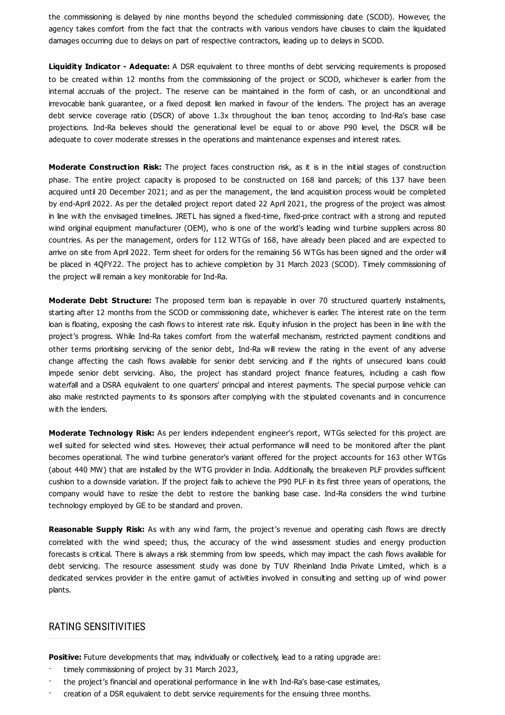the commissioning is delayed by nine months beyond the scheduled commissioning date (SCOD). However, the agency takes comfort from the fact that the contracts with various vendors have clauses to claim the liquidated damages occurring due to delays on part of respective contractors, leading up to delays in SCOD.

**Liquidity Indicator - Adequate:** A DSR equivalent to three months of debt servicing requirements is proposed to be created within 12 months from the commissioning of the project or SCOD, whichever is earlier from the internal accruals of the project. The reserve can be maintained in the form of cash, or an unconditional and irrevocable bank guarantee, or a fixed deposit lien marked in favour of the lenders. The project has an average debt service coverage ratio (DSCR) of above 1.3x throughout the loan tenor, according to Ind-Ra's base case projections. Ind-Ra believes should the generational level be equal to or above P90 level, the DSCR will be adequate to cover moderate stresses in the operations and maintenance expenses and interest rates.

**Moderate Construction Risk:** The project faces construction risk, as it is in the initial stages of construction phase. The entire project capacity is proposed to be constructed on 168 land parcels; of this 137 have been acquired until 20 December 2021; and as per the management, the land acquisition process would be completed by end-April 2022. As per the detailed project report dated 22 April 2021, the progress of the project was almost in line with the envisaged timelines. JRETL has signed a fixed-time, fixed-price contract with a strong and reputed wind original equipment manufacturer (OEM), who is one of the world's leading wind turbine suppliers across 80 countries. As per the management, orders for 112 WTGs of 168, have already been placed and are expected to arrive on site from April 2022. Term sheet for orders for the remaining 56 WTGs has been signed and the order will be placed in 4QFY22. The project has to achieve completion by 31 March 2023 (SCOD). Timely commissioning of the project will remain a key monitorable for Ind-Ra.

**Moderate Debt Structure:** The proposed term loan is repayable in over 70 structured quarterly instalments, starting after 12 months from the SCOD or commissioning date, whichever is earlier. The interest rate on the term loan is floating, exposing the cash flows to interest rate risk. Equity infusion in the project has been in line with the project's progress. While Ind-Ra takes comfort from the waterfall mechanism, restricted payment conditions and other terms prioritising servicing of the senior debt, Ind-Ra will review the rating in the event of any adverse change affecting the cash flows available for senior debt servicing and if the rights of unsecured loans could impede senior debt servicing. Also, the project has standard project finance features, including a cash flow waterfall and a DSRA equivalent to one quarters' principal and interest payments. The special purpose vehicle can also make restricted payments to its sponsors after complying with the stipulated covenants and in concurrence with the lenders.

**Moderate Technology Risk:** As per lenders independent engineer's report, WTGs selected for this project are well suited for selected wind sites. However, their actual performance will need to be monitored after the plant becomes operational. The wind turbine generator's variant offered for the project accounts for 163 other WTGs (about 440 MW) that are installed by the WTG provider in India. Additionally, the breakeven PLF provides sufficient cushion to a downside variation. If the project fails to achieve the P90 PLF in its first three years of operations, the company would have to resize the debt to restore the banking base case. Ind-Ra considers the wind turbine technology employed by GE to be standard and proven.

**Reasonable Supply Risk:** As with any wind farm, the project's revenue and operating cash flows are directly correlated with the wind speed; thus, the accuracy of the wind assessment studies and energy production forecasts is critical. There is always a risk stemming from low speeds, which may impact the cash flows available for debt servicing. The resource assessment study was done by TUV Rheinland India Private Limited, which is a dedicated services provider in the entire gamut of activities involved in consulting and setting up of wind power plants.

#### RATING SENSITIVITIES

**Positive:** Future developments that may, individually or collectively, lead to a rating upgrade are:

- timely commissioning of project by 31 March 2023,
- · the project's financial and operational performance in line with Ind-Ra's base-case estimates,
- · creation of a DSR equivalent to debt service requirements for the ensuing three months.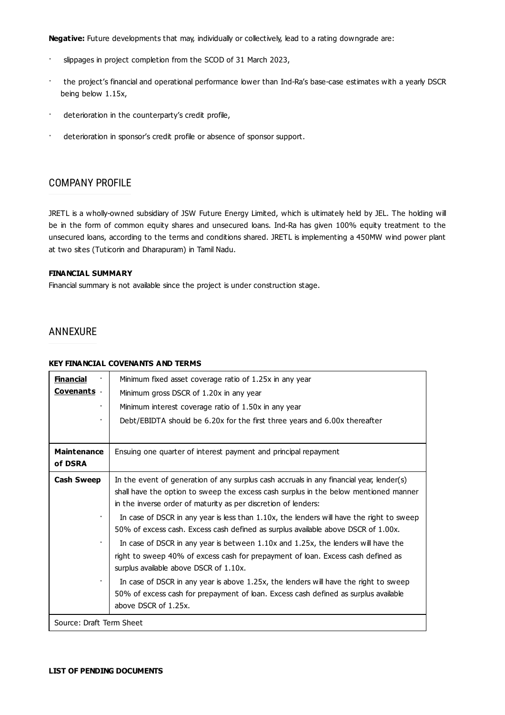**Negative:** Future developments that may, individually or collectively, lead to a rating downgrade are:

- · slippages in project completion from the SCOD of 31 March 2023,
- · the project's financial and operational performance lower than Ind-Ra's base-case estimates with a yearly DSCR being below 1.15x,
- · deterioration in the counterparty's credit profile,
- · deterioration in sponsor's credit profile or absence of sponsor support.

## COMPANY PROFILE

JRETL is a wholly-owned subsidiary of JSW Future Energy Limited, which is ultimately held by JEL. The holding will be in the form of common equity shares and unsecured loans. Ind-Ra has given 100% equity treatment to the unsecured loans, according to the terms and conditions shared. JRETL is implementing a 450MW wind power plant at two sites (Tuticorin and Dharapuram) in Tamil Nadu.

#### **FINANCIAL SUMMARY**

Financial summary is not available since the project is under construction stage.

## ANNEXURE

#### **KEY FINANCIAL COVENANTS AND TERMS**

| <u>Financial</u><br>Covenants .<br>٠ | Minimum fixed asset coverage ratio of 1.25x in any year<br>Minimum gross DSCR of 1.20x in any year<br>Minimum interest coverage ratio of 1.50x in any year<br>Debt/EBIDTA should be 6.20x for the first three years and 6.00x thereafter                                                                                                                                                                                                                                                                                                                                                                                                                                                                                                                                                                                                                      |  |  |  |  |
|--------------------------------------|---------------------------------------------------------------------------------------------------------------------------------------------------------------------------------------------------------------------------------------------------------------------------------------------------------------------------------------------------------------------------------------------------------------------------------------------------------------------------------------------------------------------------------------------------------------------------------------------------------------------------------------------------------------------------------------------------------------------------------------------------------------------------------------------------------------------------------------------------------------|--|--|--|--|
| <b>Maintenance</b><br>of DSRA        | Ensuing one quarter of interest payment and principal repayment                                                                                                                                                                                                                                                                                                                                                                                                                                                                                                                                                                                                                                                                                                                                                                                               |  |  |  |  |
| <b>Cash Sweep</b><br>٠               | In the event of generation of any surplus cash accruals in any financial year, lender(s)<br>shall have the option to sweep the excess cash surplus in the below mentioned manner<br>in the inverse order of maturity as per discretion of lenders:<br>In case of DSCR in any year is less than 1.10x, the lenders will have the right to sweep<br>50% of excess cash. Excess cash defined as surplus available above DSCR of 1.00x.<br>In case of DSCR in any year is between 1.10x and 1.25x, the lenders will have the<br>right to sweep 40% of excess cash for prepayment of loan. Excess cash defined as<br>surplus available above DSCR of 1.10x.<br>In case of DSCR in any year is above 1.25x, the lenders will have the right to sweep<br>50% of excess cash for prepayment of loan. Excess cash defined as surplus available<br>above DSCR of 1.25x. |  |  |  |  |
| Source: Draft Term Sheet             |                                                                                                                                                                                                                                                                                                                                                                                                                                                                                                                                                                                                                                                                                                                                                                                                                                                               |  |  |  |  |

 $\ddot{\phantom{a}}$  $\mathcal{L}^{\text{max}}_{\text{max}}$  , where  $\mathcal{L}^{\text{max}}_{\text{max}}$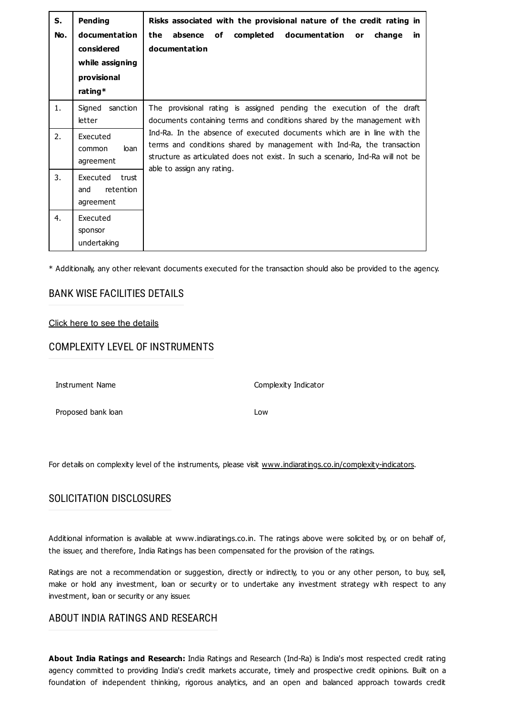| S.<br>No. | <b>Pending</b><br>documentation<br>considered<br>while assigning<br>provisional | Risks associated with the provisional nature of the credit rating in<br>completed documentation<br>absence<br>the<br>of<br>change<br>or<br>in.<br>documentation                                                                                                                                                                                                                          |  |  |  |
|-----------|---------------------------------------------------------------------------------|------------------------------------------------------------------------------------------------------------------------------------------------------------------------------------------------------------------------------------------------------------------------------------------------------------------------------------------------------------------------------------------|--|--|--|
|           | rating*                                                                         |                                                                                                                                                                                                                                                                                                                                                                                          |  |  |  |
| 1.        | Signed<br>sanction<br>letter                                                    | The provisional rating is assigned pending the execution of the draft<br>documents containing terms and conditions shared by the management with<br>Ind-Ra. In the absence of executed documents which are in line with the<br>terms and conditions shared by management with Ind-Ra, the transaction<br>structure as articulated does not exist. In such a scenario, Ind-Ra will not be |  |  |  |
| 2.        | Executed<br>loan<br>common<br>agreement                                         |                                                                                                                                                                                                                                                                                                                                                                                          |  |  |  |
| 3.        | Executed<br>trust<br>retention<br>and<br>agreement                              | able to assign any rating.                                                                                                                                                                                                                                                                                                                                                               |  |  |  |
| 4.        | Executed<br>sponsor<br>undertaking                                              |                                                                                                                                                                                                                                                                                                                                                                                          |  |  |  |

\* Additionally, any other relevant documents executed for the transaction should also be provided to the agency.

## BANK WISE FACILITIES DETAILS

#### [Click here](https://www.indiaratings.co.in/PressRelease/BankersDetailsHTML?PressReleaseId=57266) to see the details

## COMPLEXITY LEVEL OF INSTRUMENTS

Instrument Name Complexity Indicator

Proposed bank loan Low

For details on complexity level of the instruments, please visit [www.indiaratings.co.in/complexity-indicators](http://www.indiaratings.co.in/complexity-indicators).

## SOLICITATION DISCLOSURES

Additional information is available at www.indiaratings.co.in. The ratings above were solicited by, or on behalf of, the issuer, and therefore, India Ratings has been compensated for the provision of the ratings.

Ratings are not a recommendation or suggestion, directly or indirectly, to you or any other person, to buy, sell, make or hold any investment, loan or security or to undertake any investment strategy with respect to any investment, loan or security or any issuer.

## ABOUT INDIA RATINGS AND RESEARCH

**About India Ratings and Research:** India Ratings and Research (Ind-Ra) is India's most respected credit rating agency committed to providing India's credit markets accurate, timely and prospective credit opinions. Built on a foundation of independent thinking, rigorous analytics, and an open and balanced approach towards credit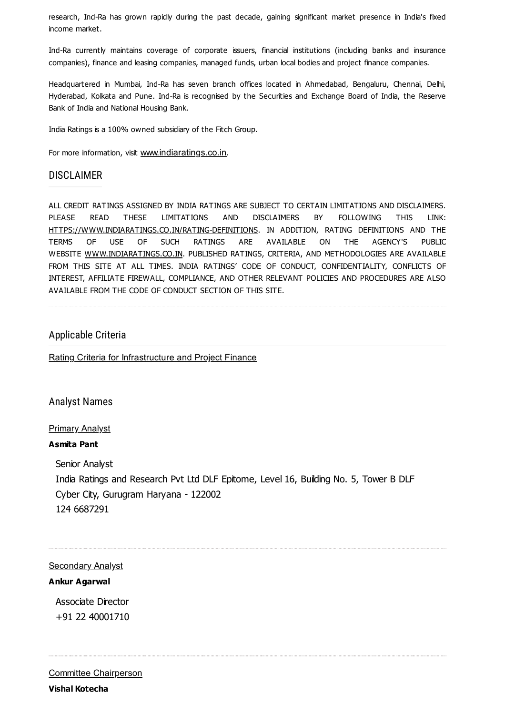research, Ind-Ra has grown rapidly during the past decade, gaining significant market presence in India's fixed income market.

Ind-Ra currently maintains coverage of corporate issuers, financial institutions (including banks and insurance companies), finance and leasing companies, managed funds, urban local bodies and project finance companies.

Headquartered in Mumbai, Ind-Ra has seven branch offices located in Ahmedabad, Bengaluru, Chennai, Delhi, Hyderabad, Kolkata and Pune. Ind-Ra is recognised by the Securities and Exchange Board of India, the Reserve Bank of India and National Housing Bank.

India Ratings is a 100% owned subsidiary of the Fitch Group.

For more information, visit [www.indiaratings.co.in](http://www.indiaratings.co.in/).

## **DISCLAIMER**

ALL CREDIT RATINGS ASSIGNED BY INDIA RATINGS ARE SUBJECT TO CERTAIN LIMITATIONS AND DISCLAIMERS. PLEASE READ THESE LIMITATIONS AND DISCLAIMERS BY FOLLOWING THIS LINK: [HTTPS://WWW.INDIARATINGS.CO.IN/RATING-DEFINITIONS.](https://www.indiaratings.co.in/rating-definitions) IN ADDITION, RATING DEFINITIONS AND THE TERMS OF USE OF SUCH RATINGS ARE AVAILABLE ON THE AGENCY'S PUBLIC WEBSITE [WWW.INDIARATINGS.CO.IN.](http://www.indiaratings.co.in/) PUBLISHED RATINGS, CRITERIA, AND METHODOLOGIES ARE AVAILABLE FROM THIS SITE AT ALL TIMES. INDIA RATINGS' CODE OF CONDUCT, CONFIDENTIALITY, CONFLICTS OF INTEREST, AFFILIATE FIREWALL, COMPLIANCE, AND OTHER RELEVANT POLICIES AND PROCEDURES ARE ALSO AVAILABLE FROM THE CODE OF CONDUCT SECTION OF THIS SITE.

## Applicable Criteria

Rating Criteria for [Infrastructure](https://www.indiaratings.co.in/Uploads/CriteriaReport/Rating%20Criteria%20for%20Infrastructure%20and%20Project%20Finance.pdf) and Project Finance

## Analyst Names

#### Primary Analyst

#### **Asmita Pant**

Senior Analyst India Ratings and Research Pvt Ltd DLF Epitome, Level 16, Building No. 5, Tower B DLF Cyber City, Gurugram Haryana - 122002 124 6687291

#### **Secondary Analyst**

#### **Ankur Agarwal**

Associate Director +91 22 40001710